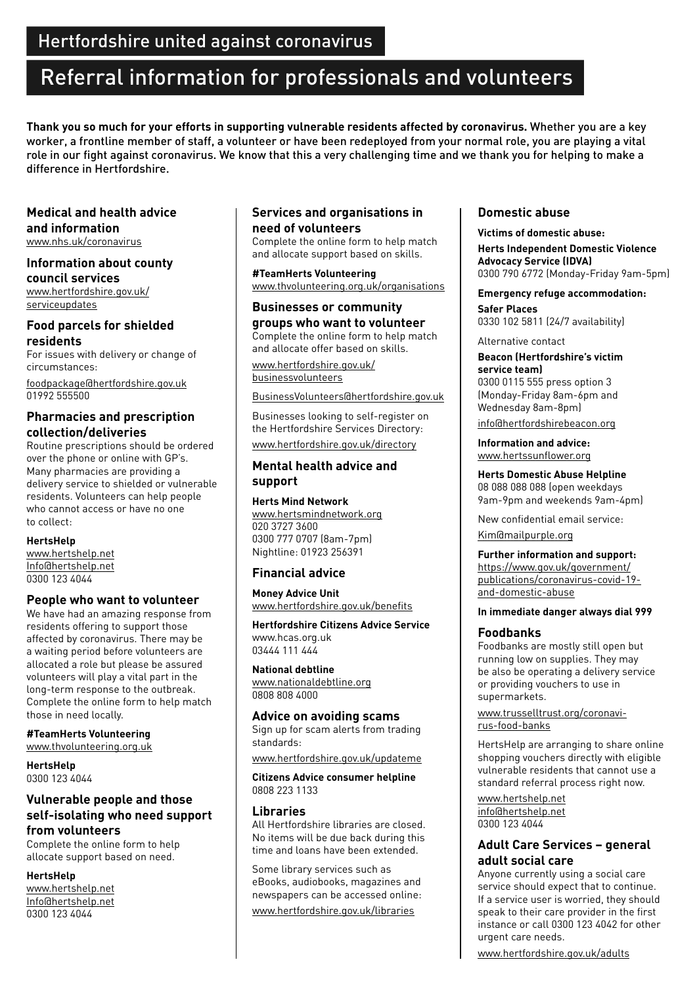# Referral information for professionals and volunteers

**Thank you so much for your efforts in supporting vulnerable residents affected by coronavirus.** Whether you are a key worker, a frontline member of staff, a volunteer or have been redeployed from your normal role, you are playing a vital role in our fight against coronavirus. We know that this a very challenging time and we thank you for helping to make a difference in Hertfordshire.

**Medical and health advice and information** <www.nhs.uk/coronavirus>

**Information about county council services** [www.hertfordshire.gov.uk/](www.hertfordshire.gov.uk/serviceupdates)

[serviceupdates](www.hertfordshire.gov.uk/serviceupdates)

**Food parcels for shielded residents**

For issues with delivery or change of circumstances:

[foodpackage@hertfordshire.gov.uk](mailto:foodpackage%40hertfordshire.gov.uk?subject=) 01992 555500

# **Pharmacies and prescription collection/deliveries**

Routine prescriptions should be ordered over the phone or online with GP's. Many pharmacies are providing a delivery service to shielded or vulnerable residents. Volunteers can help people who cannot access or have no one to collect:

#### **HertsHelp**

<www.hertshelp.net> [Info@hertshelp.net](mailto:Info%40hertshelp.net?subject=) 0300 123 4044

#### **People who want to volunteer**

We have had an amazing response from residents offering to support those affected by coronavirus. There may be a waiting period before volunteers are allocated a role but please be assured volunteers will play a vital part in the long-term response to the outbreak. Complete the online form to help match those in need locally.

**#TeamHerts Volunteering**  <www.thvolunteering.org.uk>

**HertsHelp**  0300 123 4044

# **Vulnerable people and those self-isolating who need support from volunteers**

Complete the online form to help allocate support based on need.

#### **HertsHelp**

<www.hertshelp.net> [Info@hertshelp.net](mailto:Info%40hertshelp.net?subject=) 0300 123 4044

# **Services and organisations in need of volunteers**

Complete the online form to help match and allocate support based on skills.

**#TeamHerts Volunteering** <www.thvolunteering.org.uk/organisations>

#### **Businesses or community groups who want to volunteer**

Complete the online form to help match and allocate offer based on skills.

[www.hertfordshire.gov.uk/](www.hertfordshire.gov.uk/businessvolunteers) [businessvolunteers](www.hertfordshire.gov.uk/businessvolunteers)

[BusinessVolunteers@hertfordshire.gov.uk](mailto:BusinessVolunteers%40hertfordshire.gov.uk?subject=)

Businesses looking to self-register on the Hertfordshire Services Directory: <www.hertfordshire.gov.uk/directory>

## **Mental health advice and support**

#### **Herts Mind Network**

<www.hertsmindnetwork.org> 020 3727 3600 0300 777 0707 (8am-7pm) Nightline: 01923 256391

#### **Financial advice**

**Money Advice Unit** <www.hertfordshire.gov.uk/benefits>

**Hertfordshire Citizens Advice Service** www.hcas.org.uk 03444 111 444

#### **National debtline**

<www.nationaldebtline.org> 0808 808 4000

**Advice on avoiding scams** Sign up for scam alerts from trading standards:

<www.hertfordshire.gov.uk/updateme>

**Citizens Advice consumer helpline** 0808 223 1133

#### **Libraries**

All Hertfordshire libraries are closed. No items will be due back during this time and loans have been extended.

Some library services such as eBooks, audiobooks, magazines and newspapers can be accessed online:

<www.hertfordshire.gov.uk/libraries>

# **Domestic abuse**

#### **Victims of domestic abuse:**

**Herts Independent Domestic Violence Advocacy Service (IDVA)**  0300 790 6772 (Monday-Friday 9am-5pm)

**Emergency refuge accommodation:** 

**Safer Places**  0330 102 5811 (24/7 availability)

Alternative contact

**Beacon (Hertfordshire's victim service team)** 0300 0115 555 press option 3 (Monday-Friday 8am-6pm and Wednesday 8am-8pm)

[info@hertfordshirebeacon.org](mailto:info%40hertfordshirebeacon.org?subject=)

**Information and advice:**  <www.hertssunflower.org>

**Herts Domestic Abuse Helpline** 08 088 088 088 (open weekdays 9am-9pm and weekends 9am-4pm)

New confidential email service: [Kim@mailpurple.org](mailto:Kim%40mailpurple.org?subject=)

# **Further information and support:**

[https://www.gov.uk/government/](https://www.gov.uk/government/publications/coronavirus-covid-19-and-domestic-abuse) [publications/coronavirus-covid-19](https://www.gov.uk/government/publications/coronavirus-covid-19-and-domestic-abuse) [and-domestic-abuse](https://www.gov.uk/government/publications/coronavirus-covid-19-and-domestic-abuse)

**In immediate danger always dial 999** 

#### **Foodbanks**

Foodbanks are mostly still open but running low on supplies. They may be also be operating a delivery service or providing vouchers to use in supermarkets.

[www.trusselltrust.org/coronavi](www.trusselltrust.org/coronavirus-food-banks)[rus-food-banks](www.trusselltrust.org/coronavirus-food-banks)

HertsHelp are arranging to share online shopping vouchers directly with eligible vulnerable residents that cannot use a standard referral process right now.

<www.hertshelp.net> [info@hertshelp.net](mailto:info%40hertshelp.net?subject=) 0300 123 4044

# **Adult Care Services – general adult social care**

Anyone currently using a social care service should expect that to continue. If a service user is worried, they should speak to their care provider in the first instance or call 0300 123 4042 for other urgent care needs.

<www.hertfordshire.gov.uk/adults>